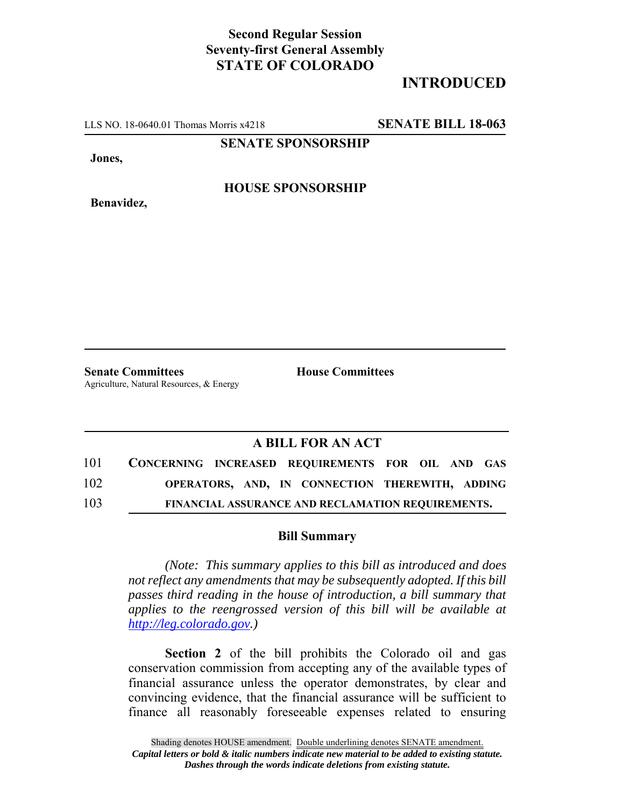## **Second Regular Session Seventy-first General Assembly STATE OF COLORADO**

## **INTRODUCED**

LLS NO. 18-0640.01 Thomas Morris x4218 **SENATE BILL 18-063**

**SENATE SPONSORSHIP**

**Jones,**

**Benavidez,**

**HOUSE SPONSORSHIP**

**Senate Committees House Committees** Agriculture, Natural Resources, & Energy

## **A BILL FOR AN ACT**

| 101 |  | CONCERNING INCREASED REQUIREMENTS FOR OIL AND GAS        |  |  |
|-----|--|----------------------------------------------------------|--|--|
| 102 |  | OPERATORS, AND, IN CONNECTION THEREWITH, ADDING          |  |  |
| 103 |  | <b>FINANCIAL ASSURANCE AND RECLAMATION REQUIREMENTS.</b> |  |  |

## **Bill Summary**

*(Note: This summary applies to this bill as introduced and does not reflect any amendments that may be subsequently adopted. If this bill passes third reading in the house of introduction, a bill summary that applies to the reengrossed version of this bill will be available at http://leg.colorado.gov.)*

**Section 2** of the bill prohibits the Colorado oil and gas conservation commission from accepting any of the available types of financial assurance unless the operator demonstrates, by clear and convincing evidence, that the financial assurance will be sufficient to finance all reasonably foreseeable expenses related to ensuring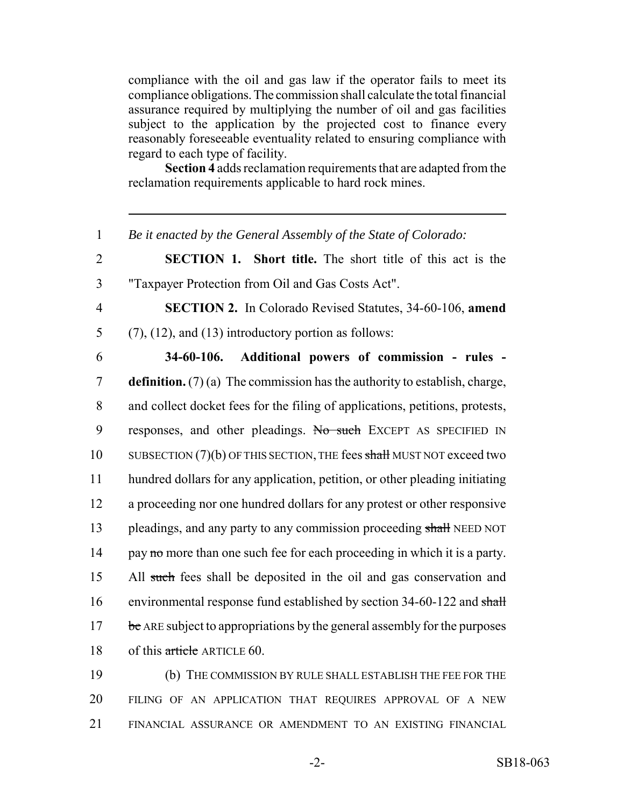compliance with the oil and gas law if the operator fails to meet its compliance obligations. The commission shall calculate the total financial assurance required by multiplying the number of oil and gas facilities subject to the application by the projected cost to finance every reasonably foreseeable eventuality related to ensuring compliance with regard to each type of facility.

**Section 4** adds reclamation requirements that are adapted from the reclamation requirements applicable to hard rock mines.

 *Be it enacted by the General Assembly of the State of Colorado:* **SECTION 1. Short title.** The short title of this act is the "Taxpayer Protection from Oil and Gas Costs Act". **SECTION 2.** In Colorado Revised Statutes, 34-60-106, **amend** 5 (7), (12), and (13) introductory portion as follows: **34-60-106. Additional powers of commission - rules - definition.** (7) (a) The commission has the authority to establish, charge, and collect docket fees for the filing of applications, petitions, protests, responses, and other pleadings. No such EXCEPT AS SPECIFIED IN 10 SUBSECTION (7)(b) OF THIS SECTION, THE fees shall MUST NOT exceed two hundred dollars for any application, petition, or other pleading initiating

12 a proceeding nor one hundred dollars for any protest or other responsive 13 pleadings, and any party to any commission proceeding shall NEED NOT 14 pay no more than one such fee for each proceeding in which it is a party. 15 All such fees shall be deposited in the oil and gas conservation and 16 environmental response fund established by section 34-60-122 and shall 17 be ARE subject to appropriations by the general assembly for the purposes 18 of this article ARTICLE 60.

19 (b) THE COMMISSION BY RULE SHALL ESTABLISH THE FEE FOR THE 20 FILING OF AN APPLICATION THAT REQUIRES APPROVAL OF A NEW 21 FINANCIAL ASSURANCE OR AMENDMENT TO AN EXISTING FINANCIAL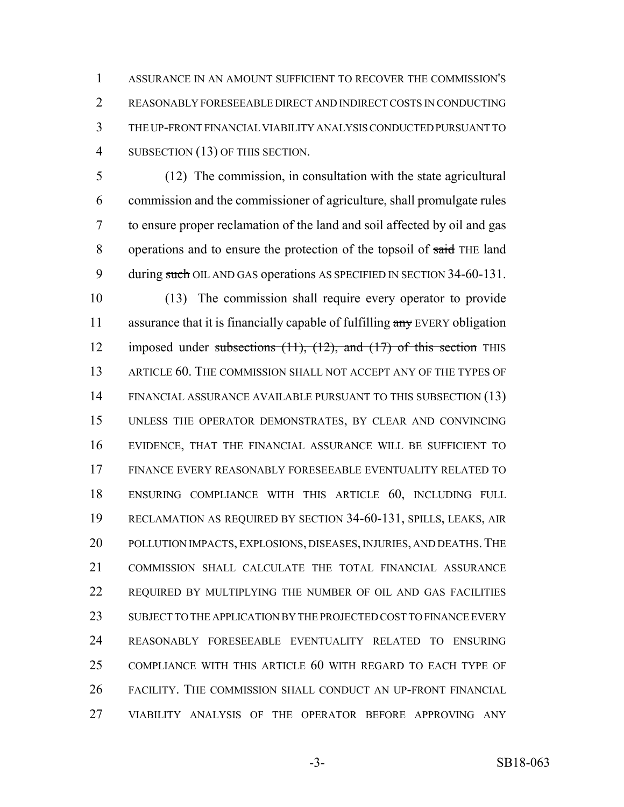ASSURANCE IN AN AMOUNT SUFFICIENT TO RECOVER THE COMMISSION'S REASONABLY FORESEEABLE DIRECT AND INDIRECT COSTS IN CONDUCTING THE UP-FRONT FINANCIAL VIABILITY ANALYSIS CONDUCTED PURSUANT TO SUBSECTION (13) OF THIS SECTION.

 (12) The commission, in consultation with the state agricultural commission and the commissioner of agriculture, shall promulgate rules to ensure proper reclamation of the land and soil affected by oil and gas 8 operations and to ensure the protection of the topsoil of said THE land 9 during such OIL AND GAS operations AS SPECIFIED IN SECTION 34-60-131.

 (13) The commission shall require every operator to provide 11 assurance that it is financially capable of fulfilling any EVERY obligation 12 imposed under subsections (11), (12), and (17) of this section THIS ARTICLE 60. THE COMMISSION SHALL NOT ACCEPT ANY OF THE TYPES OF FINANCIAL ASSURANCE AVAILABLE PURSUANT TO THIS SUBSECTION (13) UNLESS THE OPERATOR DEMONSTRATES, BY CLEAR AND CONVINCING EVIDENCE, THAT THE FINANCIAL ASSURANCE WILL BE SUFFICIENT TO FINANCE EVERY REASONABLY FORESEEABLE EVENTUALITY RELATED TO ENSURING COMPLIANCE WITH THIS ARTICLE 60, INCLUDING FULL RECLAMATION AS REQUIRED BY SECTION 34-60-131, SPILLS, LEAKS, AIR 20 POLLUTION IMPACTS, EXPLOSIONS, DISEASES, INJURIES, AND DEATHS. THE COMMISSION SHALL CALCULATE THE TOTAL FINANCIAL ASSURANCE REQUIRED BY MULTIPLYING THE NUMBER OF OIL AND GAS FACILITIES SUBJECT TO THE APPLICATION BY THE PROJECTED COST TO FINANCE EVERY REASONABLY FORESEEABLE EVENTUALITY RELATED TO ENSURING COMPLIANCE WITH THIS ARTICLE 60 WITH REGARD TO EACH TYPE OF FACILITY. THE COMMISSION SHALL CONDUCT AN UP-FRONT FINANCIAL VIABILITY ANALYSIS OF THE OPERATOR BEFORE APPROVING ANY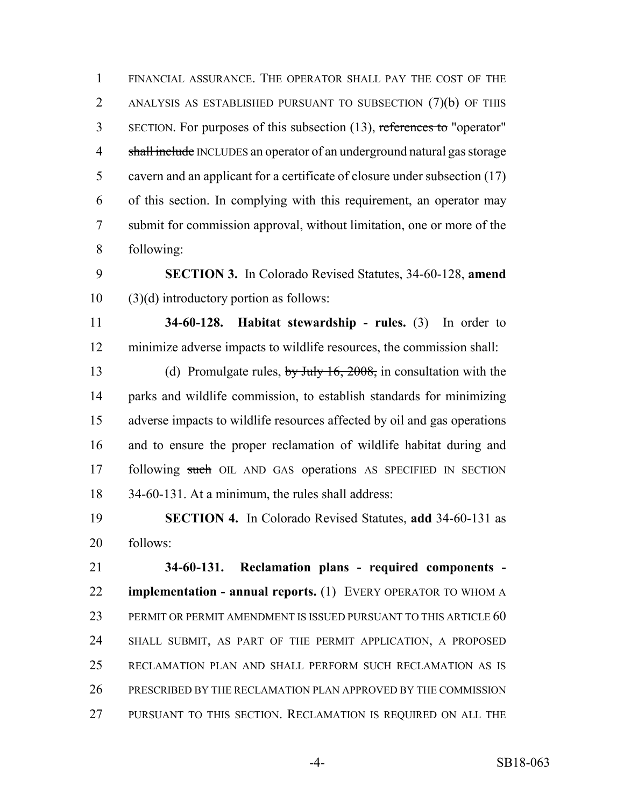FINANCIAL ASSURANCE. THE OPERATOR SHALL PAY THE COST OF THE ANALYSIS AS ESTABLISHED PURSUANT TO SUBSECTION (7)(b) OF THIS 3 SECTION. For purposes of this subsection (13), references to "operator" 4 shall include INCLUDES an operator of an underground natural gas storage cavern and an applicant for a certificate of closure under subsection (17) of this section. In complying with this requirement, an operator may submit for commission approval, without limitation, one or more of the following:

 **SECTION 3.** In Colorado Revised Statutes, 34-60-128, **amend** (3)(d) introductory portion as follows:

 **34-60-128. Habitat stewardship - rules.** (3) In order to minimize adverse impacts to wildlife resources, the commission shall:

13 (d) Promulgate rules, by July 16, 2008, in consultation with the parks and wildlife commission, to establish standards for minimizing adverse impacts to wildlife resources affected by oil and gas operations and to ensure the proper reclamation of wildlife habitat during and 17 following such OIL AND GAS operations AS SPECIFIED IN SECTION 34-60-131. At a minimum, the rules shall address:

 **SECTION 4.** In Colorado Revised Statutes, **add** 34-60-131 as follows:

 **34-60-131. Reclamation plans - required components - implementation - annual reports.** (1) EVERY OPERATOR TO WHOM A PERMIT OR PERMIT AMENDMENT IS ISSUED PURSUANT TO THIS ARTICLE 60 SHALL SUBMIT, AS PART OF THE PERMIT APPLICATION, A PROPOSED RECLAMATION PLAN AND SHALL PERFORM SUCH RECLAMATION AS IS PRESCRIBED BY THE RECLAMATION PLAN APPROVED BY THE COMMISSION PURSUANT TO THIS SECTION. RECLAMATION IS REQUIRED ON ALL THE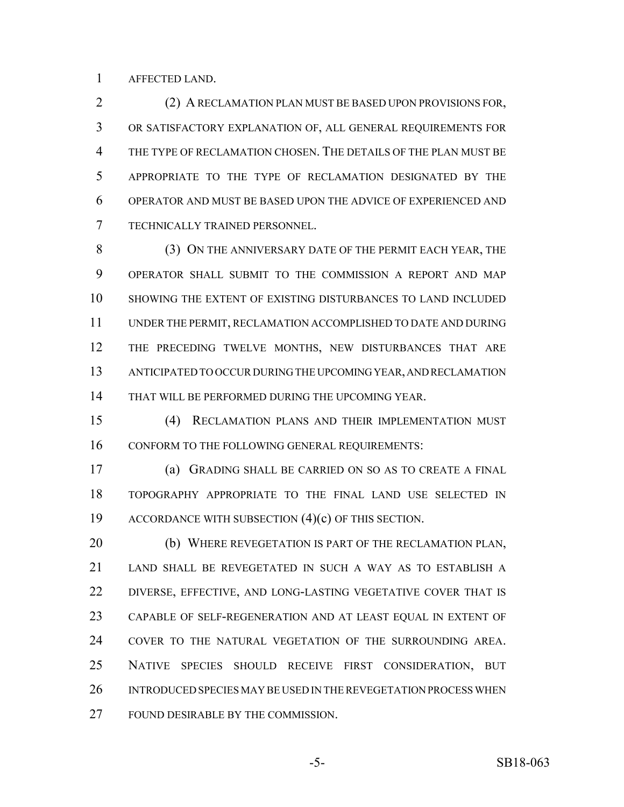AFFECTED LAND.

 (2) A RECLAMATION PLAN MUST BE BASED UPON PROVISIONS FOR, OR SATISFACTORY EXPLANATION OF, ALL GENERAL REQUIREMENTS FOR THE TYPE OF RECLAMATION CHOSEN. THE DETAILS OF THE PLAN MUST BE APPROPRIATE TO THE TYPE OF RECLAMATION DESIGNATED BY THE OPERATOR AND MUST BE BASED UPON THE ADVICE OF EXPERIENCED AND TECHNICALLY TRAINED PERSONNEL.

 (3) ON THE ANNIVERSARY DATE OF THE PERMIT EACH YEAR, THE OPERATOR SHALL SUBMIT TO THE COMMISSION A REPORT AND MAP SHOWING THE EXTENT OF EXISTING DISTURBANCES TO LAND INCLUDED UNDER THE PERMIT, RECLAMATION ACCOMPLISHED TO DATE AND DURING THE PRECEDING TWELVE MONTHS, NEW DISTURBANCES THAT ARE ANTICIPATED TO OCCUR DURING THE UPCOMING YEAR, AND RECLAMATION THAT WILL BE PERFORMED DURING THE UPCOMING YEAR.

 (4) RECLAMATION PLANS AND THEIR IMPLEMENTATION MUST CONFORM TO THE FOLLOWING GENERAL REQUIREMENTS:

 (a) GRADING SHALL BE CARRIED ON SO AS TO CREATE A FINAL TOPOGRAPHY APPROPRIATE TO THE FINAL LAND USE SELECTED IN ACCORDANCE WITH SUBSECTION (4)(c) OF THIS SECTION.

 (b) WHERE REVEGETATION IS PART OF THE RECLAMATION PLAN, LAND SHALL BE REVEGETATED IN SUCH A WAY AS TO ESTABLISH A 22 DIVERSE, EFFECTIVE, AND LONG-LASTING VEGETATIVE COVER THAT IS CAPABLE OF SELF-REGENERATION AND AT LEAST EQUAL IN EXTENT OF COVER TO THE NATURAL VEGETATION OF THE SURROUNDING AREA. NATIVE SPECIES SHOULD RECEIVE FIRST CONSIDERATION, BUT INTRODUCED SPECIES MAY BE USED IN THE REVEGETATION PROCESS WHEN FOUND DESIRABLE BY THE COMMISSION.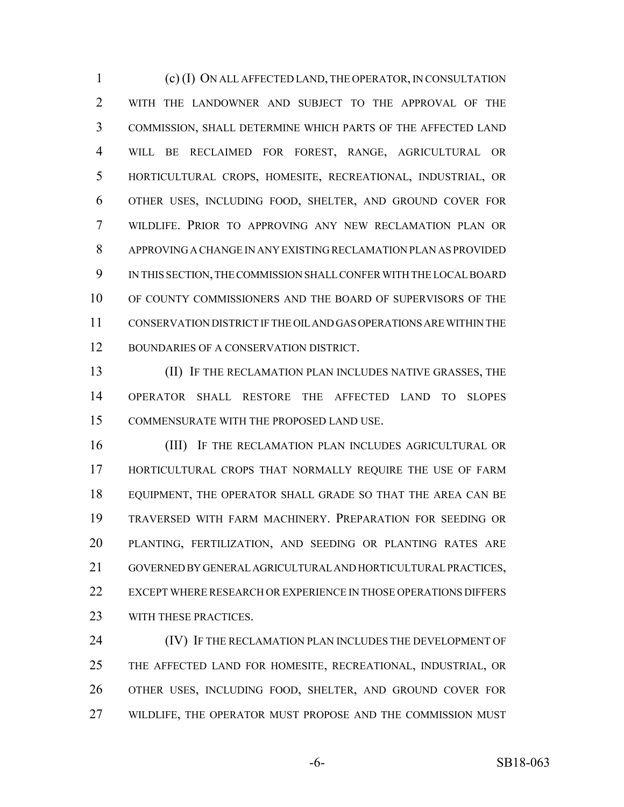(c) (I) ON ALL AFFECTED LAND, THE OPERATOR, IN CONSULTATION WITH THE LANDOWNER AND SUBJECT TO THE APPROVAL OF THE COMMISSION, SHALL DETERMINE WHICH PARTS OF THE AFFECTED LAND WILL BE RECLAIMED FOR FOREST, RANGE, AGRICULTURAL OR HORTICULTURAL CROPS, HOMESITE, RECREATIONAL, INDUSTRIAL, OR OTHER USES, INCLUDING FOOD, SHELTER, AND GROUND COVER FOR WILDLIFE. PRIOR TO APPROVING ANY NEW RECLAMATION PLAN OR APPROVING A CHANGE IN ANY EXISTING RECLAMATION PLAN AS PROVIDED IN THIS SECTION, THE COMMISSION SHALL CONFER WITH THE LOCAL BOARD OF COUNTY COMMISSIONERS AND THE BOARD OF SUPERVISORS OF THE CONSERVATION DISTRICT IF THE OIL AND GAS OPERATIONS ARE WITHIN THE BOUNDARIES OF A CONSERVATION DISTRICT.

 (II) IF THE RECLAMATION PLAN INCLUDES NATIVE GRASSES, THE OPERATOR SHALL RESTORE THE AFFECTED LAND TO SLOPES COMMENSURATE WITH THE PROPOSED LAND USE.

 (III) IF THE RECLAMATION PLAN INCLUDES AGRICULTURAL OR HORTICULTURAL CROPS THAT NORMALLY REQUIRE THE USE OF FARM EQUIPMENT, THE OPERATOR SHALL GRADE SO THAT THE AREA CAN BE TRAVERSED WITH FARM MACHINERY. PREPARATION FOR SEEDING OR PLANTING, FERTILIZATION, AND SEEDING OR PLANTING RATES ARE GOVERNED BY GENERAL AGRICULTURAL AND HORTICULTURAL PRACTICES, EXCEPT WHERE RESEARCH OR EXPERIENCE IN THOSE OPERATIONS DIFFERS 23 WITH THESE PRACTICES.

 (IV) IF THE RECLAMATION PLAN INCLUDES THE DEVELOPMENT OF THE AFFECTED LAND FOR HOMESITE, RECREATIONAL, INDUSTRIAL, OR OTHER USES, INCLUDING FOOD, SHELTER, AND GROUND COVER FOR WILDLIFE, THE OPERATOR MUST PROPOSE AND THE COMMISSION MUST